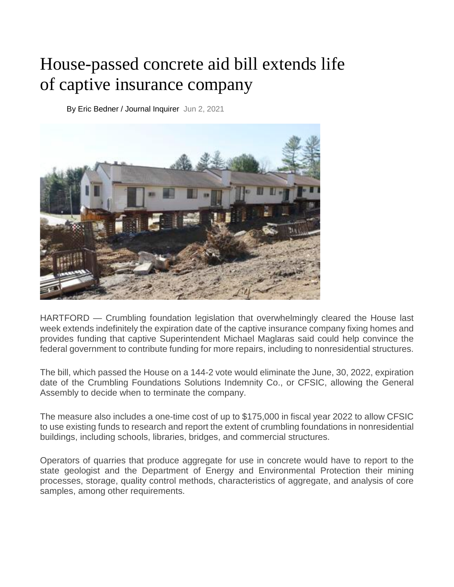## House-passed concrete aid bill extends life of captive insurance company

[By Eric Bedner / Journal Inquirer](https://www.journalinquirer.com/users/profile/Eric%20Bedner%20-%20JI) Jun 2, 2021



HARTFORD — Crumbling foundation legislation that overwhelmingly cleared the House last week extends indefinitely the expiration date of the captive insurance company fixing homes and provides funding that captive Superintendent Michael Maglaras said could help convince the federal government to contribute funding for more repairs, including to nonresidential structures.

The bill, which passed the House on a 144-2 vote would eliminate the June, 30, 2022, expiration date of the Crumbling Foundations Solutions Indemnity Co., or CFSIC, allowing the General Assembly to decide when to terminate the company.

The measure also includes a one-time cost of up to \$175,000 in fiscal year 2022 to allow CFSIC to use existing funds to research and report the extent of crumbling foundations in nonresidential buildings, including schools, libraries, bridges, and commercial structures.

Operators of quarries that produce aggregate for use in concrete would have to report to the state geologist and the Department of Energy and Environmental Protection their mining processes, storage, quality control methods, characteristics of aggregate, and analysis of core samples, among other requirements.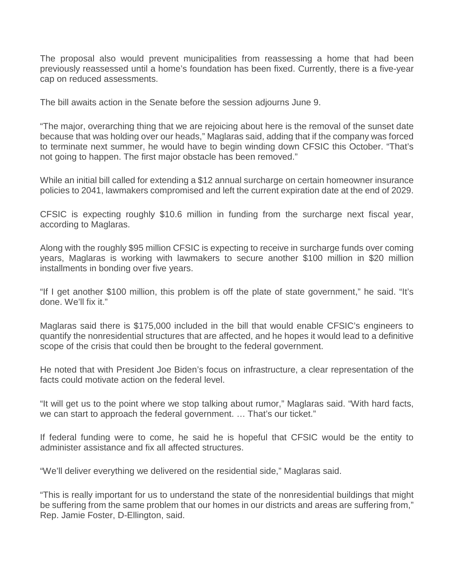The proposal also would prevent municipalities from reassessing a home that had been previously reassessed until a home's foundation has been fixed. Currently, there is a five-year cap on reduced assessments.

The bill awaits action in the Senate before the session adjourns June 9.

"The major, overarching thing that we are rejoicing about here is the removal of the sunset date because that was holding over our heads," Maglaras said, adding that if the company was forced to terminate next summer, he would have to begin winding down CFSIC this October. "That's not going to happen. The first major obstacle has been removed."

While an initial bill called for extending a \$12 annual surcharge on certain homeowner insurance policies to 2041, lawmakers compromised and left the current expiration date at the end of 2029.

CFSIC is expecting roughly \$10.6 million in funding from the surcharge next fiscal year, according to Maglaras.

Along with the roughly \$95 million CFSIC is expecting to receive in surcharge funds over coming years, Maglaras is working with lawmakers to secure another \$100 million in \$20 million installments in bonding over five years.

"If I get another \$100 million, this problem is off the plate of state government," he said. "It's done. We'll fix it."

Maglaras said there is \$175,000 included in the bill that would enable CFSIC's engineers to quantify the nonresidential structures that are affected, and he hopes it would lead to a definitive scope of the crisis that could then be brought to the federal government.

He noted that with President Joe Biden's focus on infrastructure, a clear representation of the facts could motivate action on the federal level.

"It will get us to the point where we stop talking about rumor," Maglaras said. "With hard facts, we can start to approach the federal government. … That's our ticket."

If federal funding were to come, he said he is hopeful that CFSIC would be the entity to administer assistance and fix all affected structures.

"We'll deliver everything we delivered on the residential side," Maglaras said.

"This is really important for us to understand the state of the nonresidential buildings that might be suffering from the same problem that our homes in our districts and areas are suffering from," Rep. Jamie Foster, D-Ellington, said.